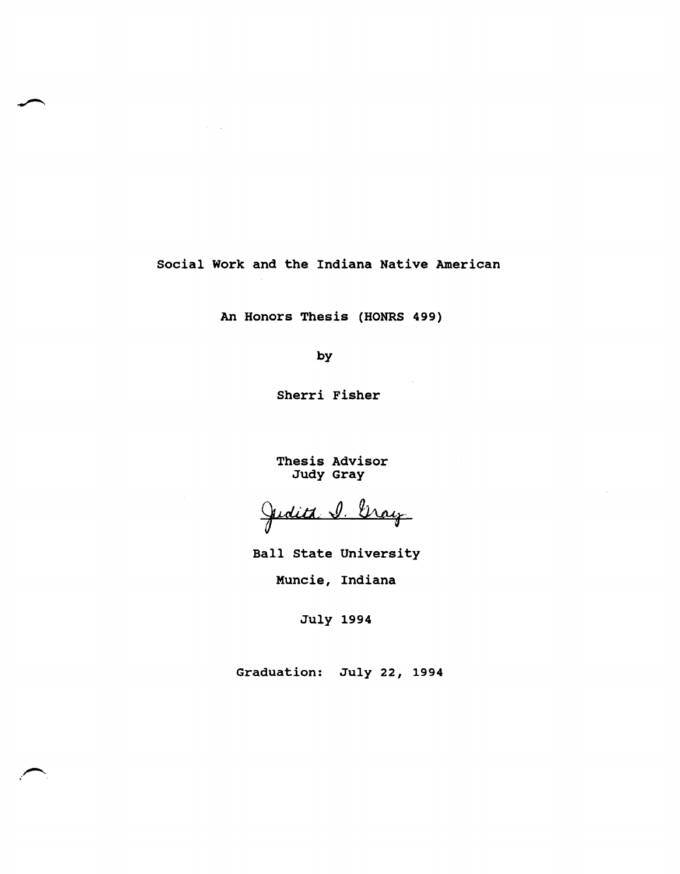social Work and the Indiana Native American

An Honors Thesis (HONRS 499)

by

Sherri Fisher

Thesis Advisor Judy Gray

Judita 1. Gray

Ball state University

Muncie, Indiana

July 1994

Graduation: July 22, 1994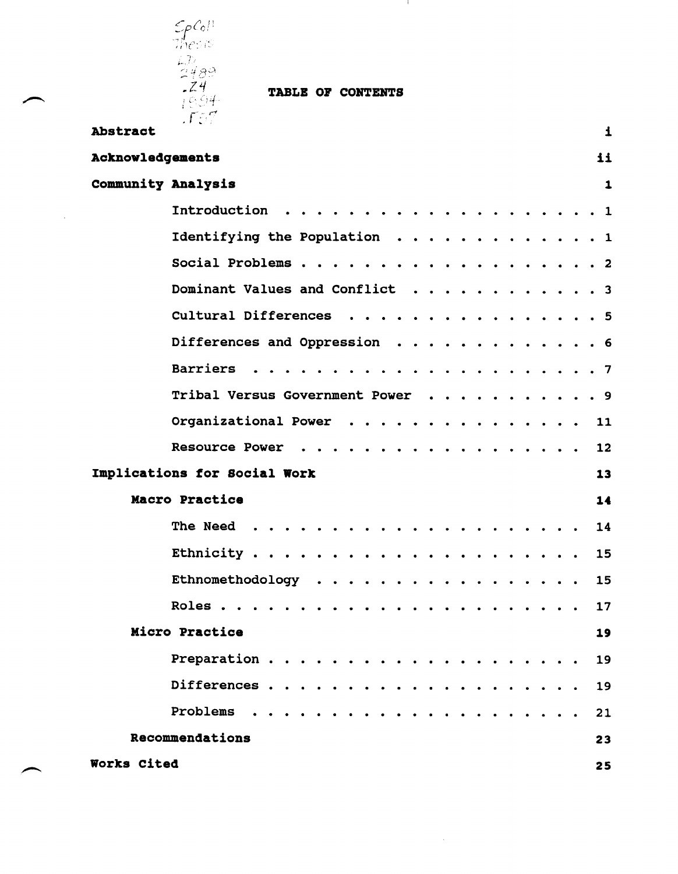

 $\sim$ 

TABLE OF CONTENTS

- 10

| Abstract<br>$\mathbf{1}$           |  |
|------------------------------------|--|
| Acknowledgements<br>11             |  |
| Community Analysis<br>$\mathbf{1}$ |  |
|                                    |  |
| Identifying the Population 1       |  |
|                                    |  |
| Dominant Values and Conflict 3     |  |
| Cultural Differences 5             |  |
| Differences and Oppression 6       |  |
|                                    |  |
| Tribal Versus Government Power 9   |  |
| Organizational Power 11            |  |
| Resource Power<br>12               |  |
| Implications for Social Work<br>13 |  |
| Macro Practice<br>14               |  |
| 14                                 |  |
| 15                                 |  |
| Ethnomethodology<br>15             |  |
| 17                                 |  |
| Micro Practice<br>19               |  |
| 19                                 |  |
| 19                                 |  |
| Problems.<br>21                    |  |
| Recommendations<br>23              |  |
| Works Cited<br>25                  |  |

 $\mathcal{A}^{\mathcal{A}}$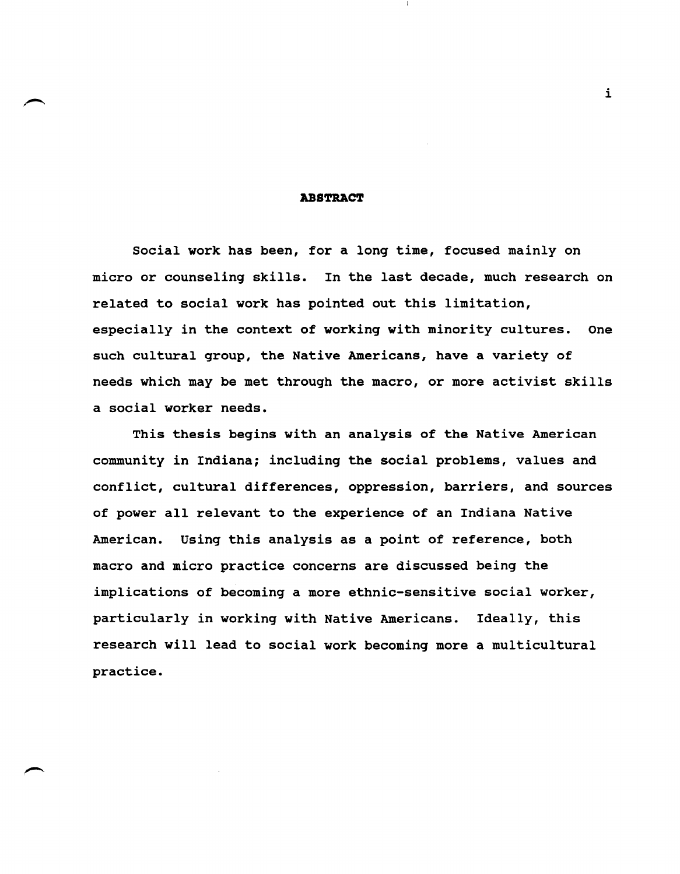#### **ABSTRACT**

social work has been, for a long time, focused mainly on micro or counseling skills. In the last decade, much research on related to social work has pointed out this limitation, especially in the context of working with minority cultures. One such cultural group, the Native Americans, have a variety of needs which may be met through the macro, or more activist skills a social worker needs.

This thesis begins with an analysis of the Native American community in Indiana; including the social problems, values and conflict, cultural differences, oppression, barriers, and sources of power all relevant to the experience of an Indiana Native American. Using this analysis as a point of reference, both macro and micro practice concerns are discussed being the implications of becoming a more ethnic-sensitive social worker, particularly in working with Native Americans. Ideally, this research will lead to social work becoming more a multicultural practice.

i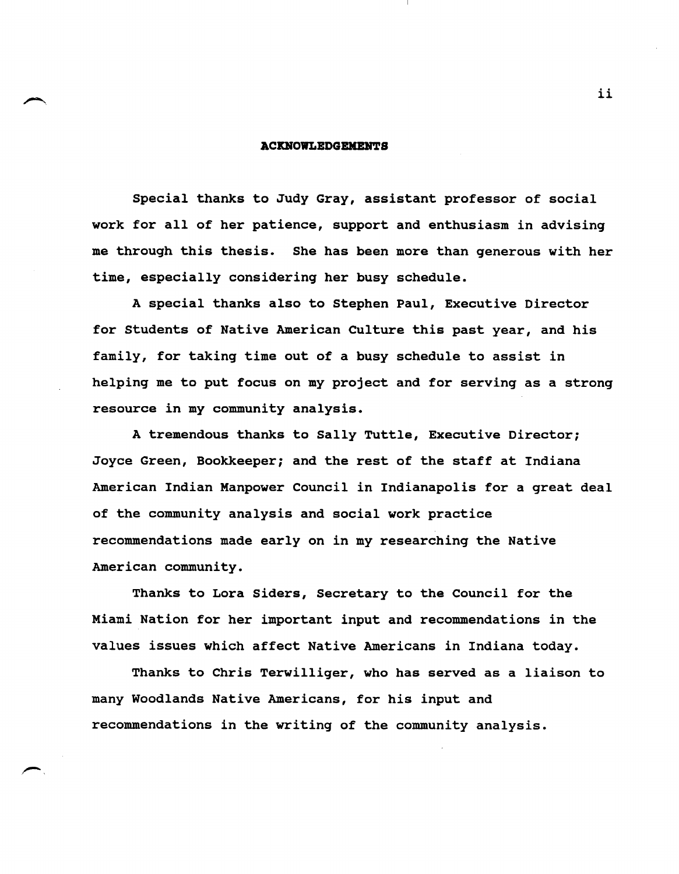#### **ACKBOWLEDGBKBHTS**

Special thanks to Judy Gray, assistant professor of social work for all of her patience, support and enthusiasm in advising me through this thesis. She has been more than generous with her time, especially considering her busy schedule.

A special thanks also to Stephen Paul, Executive Director for Students of Native American Culture this past year, and his family, for taking time out of a busy schedule to assist in helping me to put focus on my project and for serving as a strong resource in my community analysis.

A tremendous thanks to Sally Tuttle, Executive Director; Joyce Green, Bookkeeper; and the rest of the staff at Indiana American Indian Manpower Council in Indianapolis for a great deal of the community analysis and social work practice recommendations made early on in my researching the Native American community.

Thanks to Lora Siders, Secretary to the Council for the Miami Nation for her important input and recommendations in the values issues which affect Native Americans in Indiana today.

Thanks to Chris Terwilliger, who has served as a liaison to many Woodlands Native Americans, for his input and recommendations in the writing of the community analysis.

ii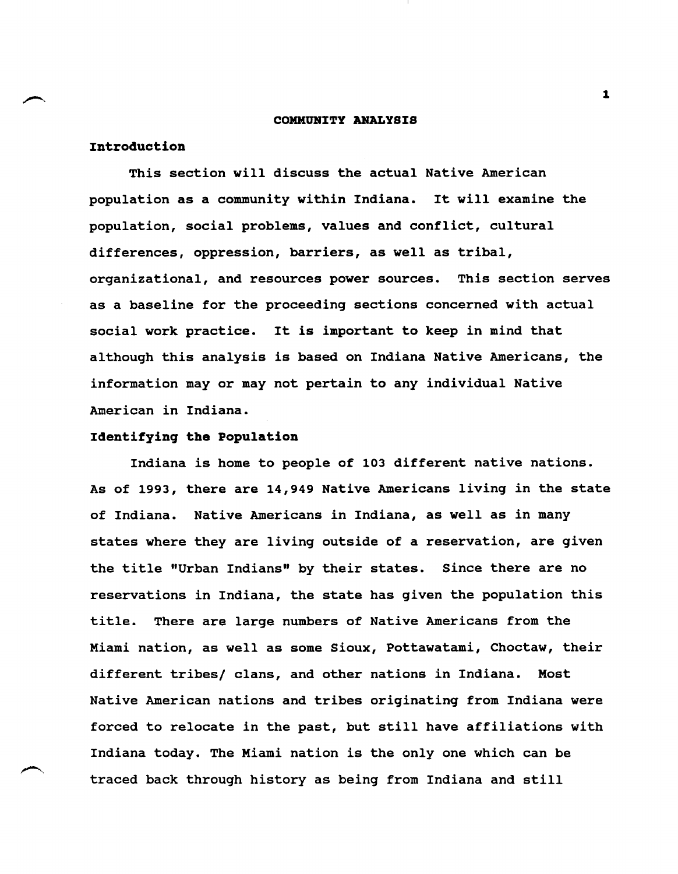#### **COMKURITY ANALYSIS**

# **Introduction**

This section will discuss the actual Native American population as a community within Indiana. It will examine the population, social problems, values and conflict, cultural differences, oppression, barriers, as well as tribal, organizational, and resources power sources. This section serves as a baseline for the proceeding sections concerned with actual social work practice. It is important to keep in mind that although this analysis is based on Indiana Native Americans, the information mayor may not pertain to any individual Native American in Indiana.

# **Identifying the population**

Indiana is home to people of 103 different native nations. As of 1993, there are 14,949 Native Americans living in the state of Indiana. Native Americans in Indiana, as well as in many states where they are living outside of a reservation, are given the title "Urban Indians" by their states. Since there are no reservations in Indiana, the state has given the population this title. There are large numbers of Native Americans from the Miami nation, as well as some Sioux, Pottawatami, Choctaw, their different tribes/ clans, and other nations in Indiana. Most Native American nations and tribes originating from Indiana were forced to relocate in the past, but still have affiliations with Indiana today. The Miami nation is the only one which can be traced back through history as being from Indiana and still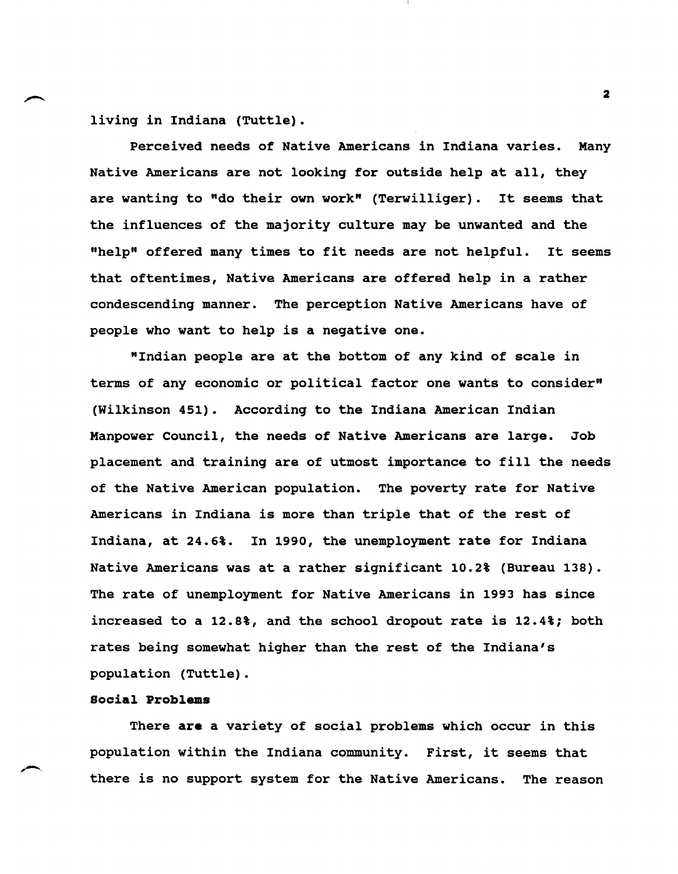living in Indiana (Tuttle).

Perceived needs of Native Americans in Indiana varies. Many Native Americans are not looking for outside help at all, they are wanting to "do their own work" (Terwilliger). It seems that the influences of the majority culture may be unwanted and the "help" offered many times to fit needs are not helpful. It seems that oftentimes, Native Americans are offered help in a rather condescending manner. The perception Native Americans have of people who want to help is a negative one.

"Indian people are at the bottom of any kind of scale in terms of any economic or political factor one wants to consider" (Wilkinson 451). According to the Indiana American Indian Manpower Council, the needs of Native Americans are large. Job placement and training are of utmost importance to fill the needs of the Native American population. The poverty rate for Native Americans in Indiana is more than triple that of the rest of Indiana, at 24.6%. In 1990, the unemployment rate for Indiana Native Americans was at a rather significant 10.2% (Bureau 138). The rate of unemployment for Native Americans in 1993 has since increased to a 12.8%, and the school dropout rate is 12.4%; both rates being somewhat higher than the rest of the Indiana's population (Tuttle).

# Social Problems

,-..

There are a variety of social problems which occur in this population within the Indiana community. First, it seems that there is no support system for the Native Americans. The reason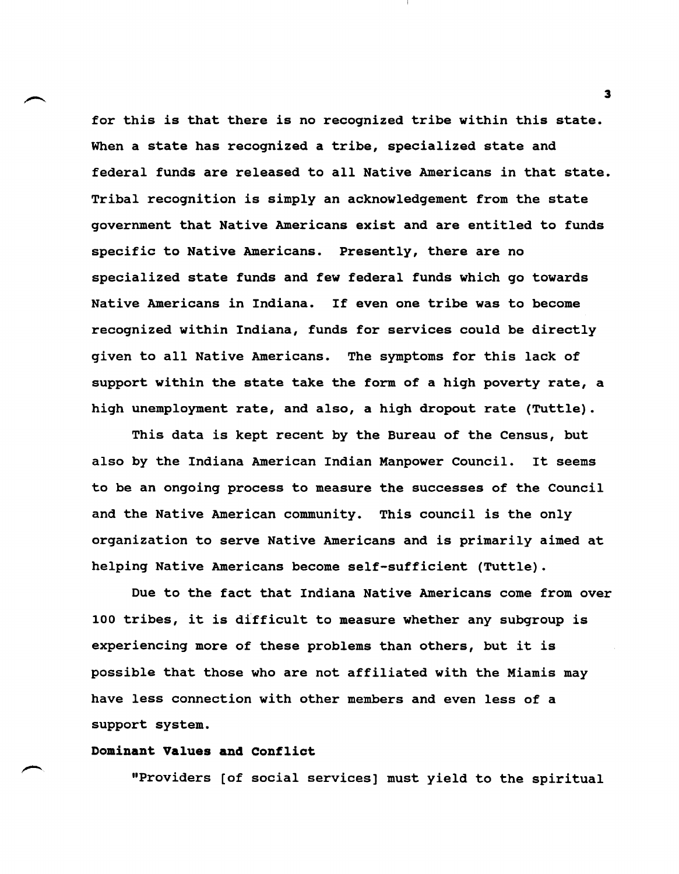for this is that there is no recognized tribe within this state. When a state has recognized a tribe, specialized state and federal funds are released to all Native Americans in that state. Tribal recognition is simply an acknowledgement from the state government that Native Americans exist and are entitled to funds specific to Native Americans. Presently, there are no specialized state funds and few federal funds which go towards Native Americans in Indiana. If even one tribe was to become recognized within Indiana, funds for services could be directly given to all Native Americans. The symptoms for this lack of support within the state take the form of a high poverty rate, a high unemployment rate, and also, a high dropout rate (Tuttle).

This data is kept recent by the Bureau of the Census, but also by the Indiana American Indian Manpower Council. It seems to be an ongoing process to measure the successes of the Council and the Native American community. This council is the only organization to serve Native Americans and is primarily aimed at helping Native Americans become self-sufficient (Tuttle).

Due to the fact that Indiana Native Americans come from over 100 tribes, it is difficult to measure whether any subgroup is experiencing more of these problems than others, but it is possible that those who are not affiliated with the Miamis may have less connection with other members and even less of a support system.

# Dominant Values **and** Confliot

"Providers [of social services] must yield to the spiritual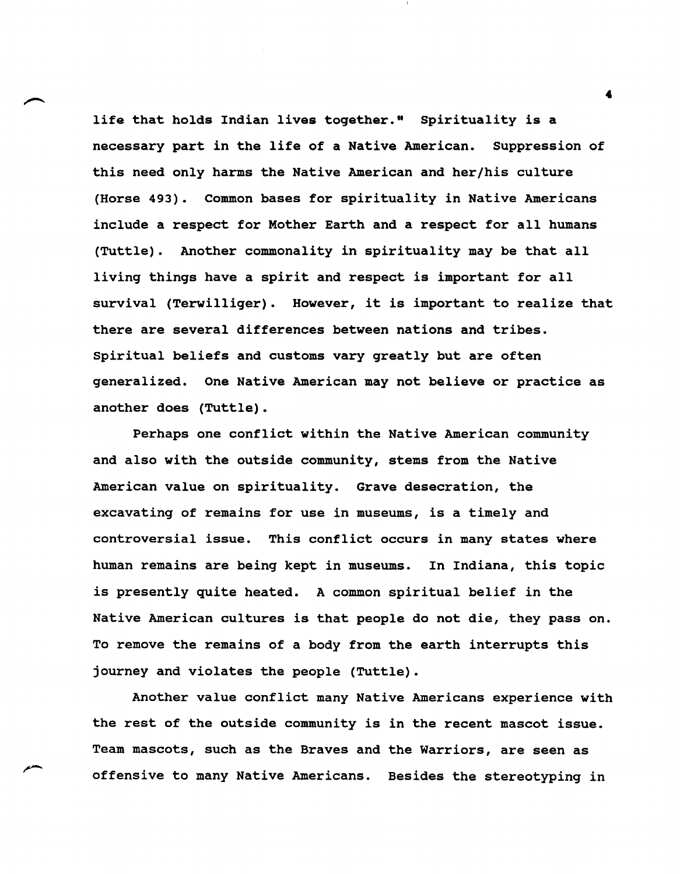life that holds Indian lives together." Spirituality is a necessary part in the life of a Native American. Suppression of this need only harms the Native American and her/his culture (Horse 493). Common bases for spirituality in Native Americans include a respect for Mother Earth and a respect for all humans (Tuttle). Another commonality in spirituality may be that all living things have a spirit and respect is important for all survival (Terwilliger). However, it is important to realize that there are several differences between nations and tribes. Spiritual beliefs and customs vary greatly but are often generalized. One Native American may not believe or practice as another does (Tuttle).

Perhaps one conflict within the Native American community and also with the outside community, stems from the Native American value on spirituality. Grave desecration, the excavating of remains for use in museums, is a timely and controversial issue. This conflict occurs in many states where human remains are being kept in museums. In Indiana, this topic is presently quite heated. A common spiritual belief in the Native American cultures is that people do not die, they pass on. To remove the remains of a body from the earth interrupts this journey and violates the people (Tuttle).

Another value conflict many Native Americans experience with the rest of the outside community is in the recent mascot issue. Team mascots, such as the Braves and the Warriors, are seen as offensive to many Native Americans. Besides the stereotyping in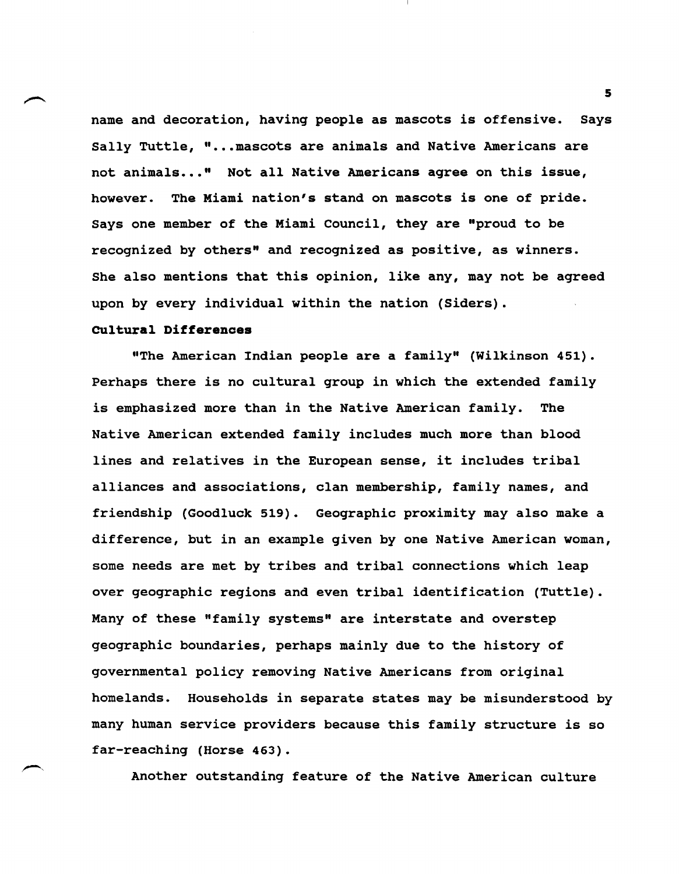name and decoration, having people as mascots is offensive. Says Sally Tuttle, "... mascots are animals and Native Americans are not animals ••• " Not all Native Americans agree on this issue, however. The Miami nation's stand on mascots is one of pride. Says one member of the Miami Council, they are "proud to be recognized by others" and recognized as positive, as winners. She also mentions that this opinion, like any, may not be agreed upon by every individual within the nation (Siders).

# **cultural Differences**

"The American Indian people are a family" (Wilkinson 451). Perhaps there is no cultural group in which the extended family is emphasized more than in the Native American family. The Native American extended family includes much more than blood lines and relatives in the European sense, it includes tribal alliances and associations, clan membership, family names, and friendship (Goodluck 519). Geographic proximity may also make a difference, but in an example given by one Native American woman, some needs are met by tribes and tribal connections which leap over geographic regions and even tribal identification (Tuttle). Many of these "family systems" are interstate and overstep geographic boundaries, perhaps mainly due to the history of governmental policy removing Native Americans from original homelands. Households in separate states may be misunderstood by many human service providers because this family structure is so far-reaching (Horse 463).

Another outstanding feature of the Native American culture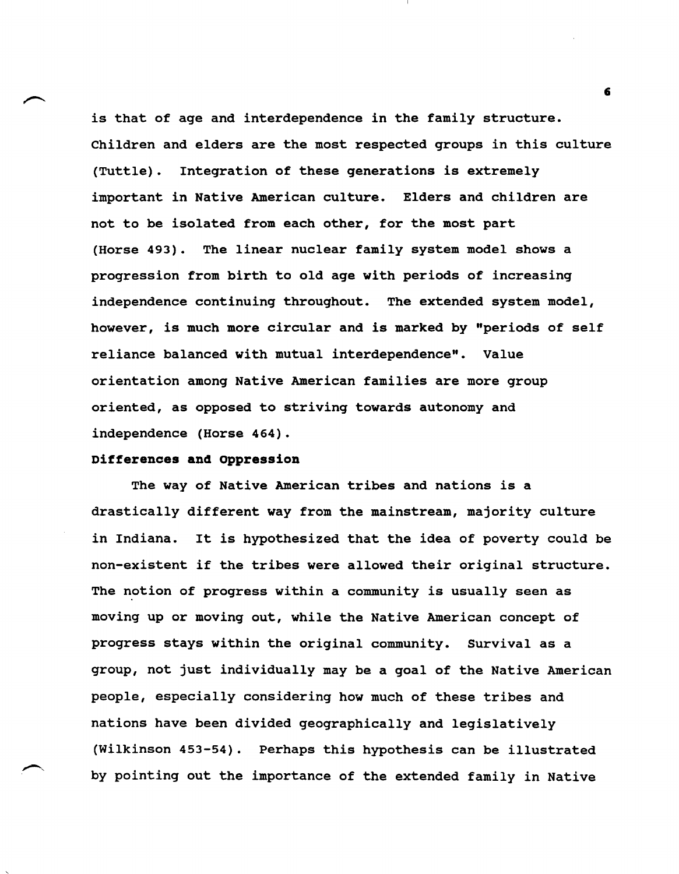is that of age and interdependence in the family structure. Children and elders are the most respected groups in this culture (Tuttle). Integration of these generations is extremely important in Native American culture. Elders and children are not to be isolated from each other, for the most part (Horse 493). The linear nuclear family system model shows a progression from birth to old age with periods of increasing independence continuing throughout. The extended system model, however, is much more circular and is marked by "periods of self reliance balanced with mutual interdependence". Value orientation among Native American families are more group oriented, as opposed to striving towards autonomy and independence (Horse 464).

## **Differences and oppression**

The way of Native American tribes and nations is a drastically different way from the mainstream, majority culture in Indiana. It is hypothesized that the idea of poverty could be non-existent if the tribes were allowed their original structure. The notion of progress within a community is usually seen as moving up or moving out, while the Native American concept of progress stays within the original community. Survival as a group, not just individually may be a goal of the Native American people, especially considering how much of these tribes and nations have been divided geographically and legislatively (Wilkinson 453-54). Perhaps this hypothesis can be illustrated by pointing out the importance of the extended family in Native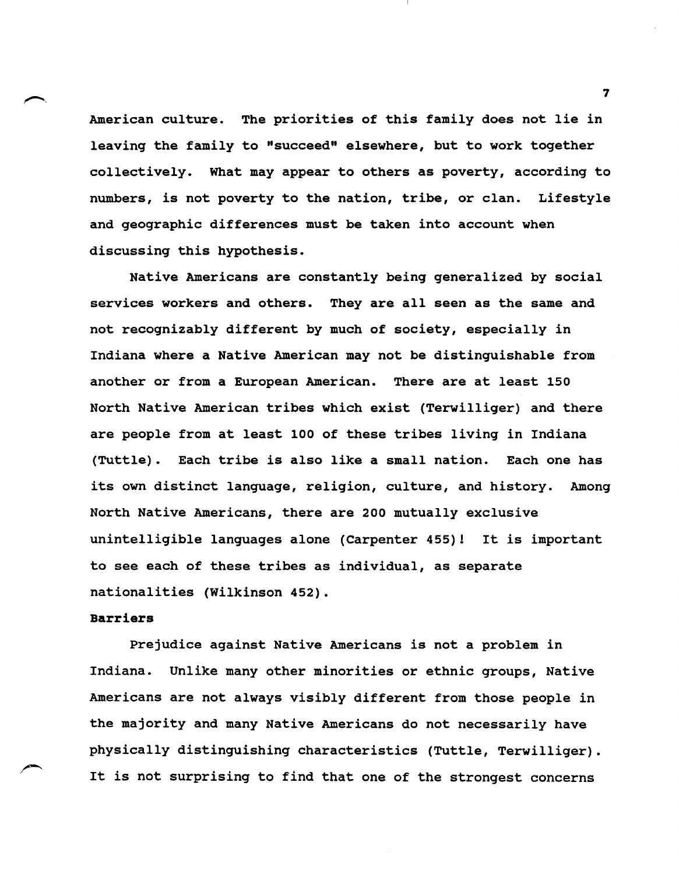American culture. The priorities of this family does not lie in leaving the family to "succeed" elsewhere, but to work together collectively. What may appear to others as poverty, according to numbers, is not poverty to the nation, tribe, or clan. Lifestyle and geographic differences must be taken into account when discussing this hypothesis.

Native Americans are constantly being generalized by social services workers and others. They are all seen as the same and not recognizably different by much of society, especially in Indiana where a Native American may not be distinguishable from another or from a European American. There are at least 150 North Native American tribes which exist (Terwilliger) and there are people from at least 100 of these tribes living in Indiana (Tuttle). Each tribe is also like a small nation. Each one has its own distinct language, religion, culture, and history. Among North Native Americans, there are 200 mutually exclusive unintelligible languages alone (Carpenter 455)! It is important to see each of these tribes as individual, as separate nationalities (Wilkinson 452).

## **Barriers**

Prejudice against Native Americans is not a problem in Indiana. Unlike many other minorities or ethnic groups, Native Americans are not always visibly different from those people in the majority and many Native Americans do not necessarily have physically distinguishing characteristics (Tuttle, Terwilliger). It is not surprising to find that one of the strongest concerns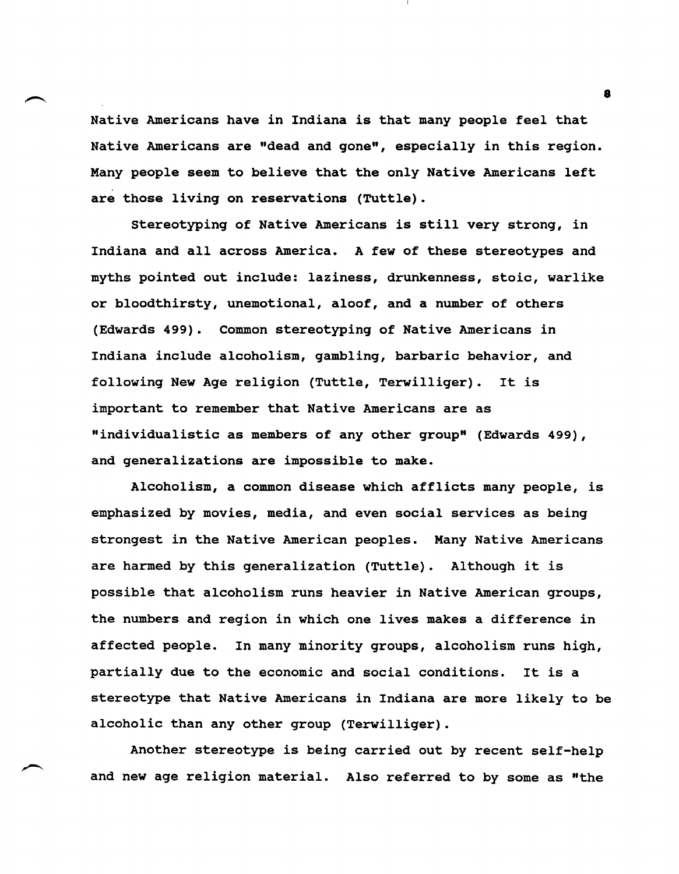Native Americans have in Indiana is that many people feel that Native Americans are "dead and gone", especially in this region. Many people seem to believe that the only Native Americans left are those living on reservations (Tuttle).

stereotyping of Native Americans is still very strong, in Indiana and all across America. A few of these stereotypes and myths pointed out include: laziness, drunkenness, stoic, warlike or bloodthirsty, unemotional, aloof, and a number of others (Edwards 499). Common stereotyping of Native Americans in Indiana include alcoholism, gambling, barbaric behavior, and following New Age religion (Tuttle, Terwilliger). It is important to remember that Native Americans are as "individualistic as members of any other group" (Edwards 499), and generalizations are impossible to make.

Alcoholism, a common disease which afflicts many people, is emphasized by movies, media, and even social services as being strongest in the Native American peoples. Many Native Americans are harmed by this generalization (Tuttle). Although it is possible that alcoholism runs heavier in Native American groups, the numbers and region in which one lives makes a difference in affected people. In many minority groups, alcoholism runs high, partially due to the economic and social conditions. It is a stereotype that Native Americans in Indiana are more likely to be alcoholic than any other group (Terwilliger).

Another stereotype is being carried out by recent self-help and new age religion material. Also referred to by some as "the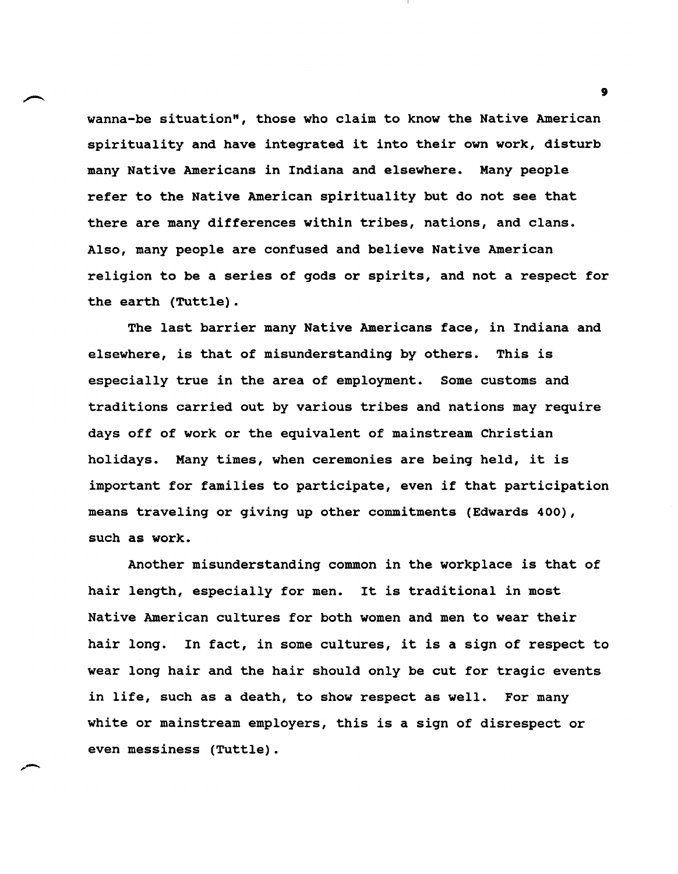wanna-be situation", those who claim to know the Native American spirituality and have integrated it into their own work, disturb many Native Americans in Indiana and elsewhere. Many people refer to the Native American spirituality but do not see that there are many differences within tribes, nations, and clans. Also, many people are confused and believe Native American religion to be a series of gods or spirits, and not a respect for the earth (Tuttle).

The last barrier many Native Americans face, in Indiana and elsewhere, is that of misunderstanding by others. This is especially true in the area of employment. Some customs and traditions carried out by various tribes and nations may require days off of work or the equivalent of mainstream Christian holidays. Many times, when ceremonies are being held, it is important for families to participate, even if that participation means traveling or giving up other commitments (Edwards 400), such as work.

Another misunderstanding common in the workplace is that of hair length, especially for men. It is traditional in most Native American cultures for both women and men to wear their hair long. In fact, in some cultures, it is a sign of respect to wear long hair and the hair should only be cut for tragic events in life, such as a death, to show respect as well. For many white or mainstream employers, this is a sign of disrespect or even messiness (Tuttle).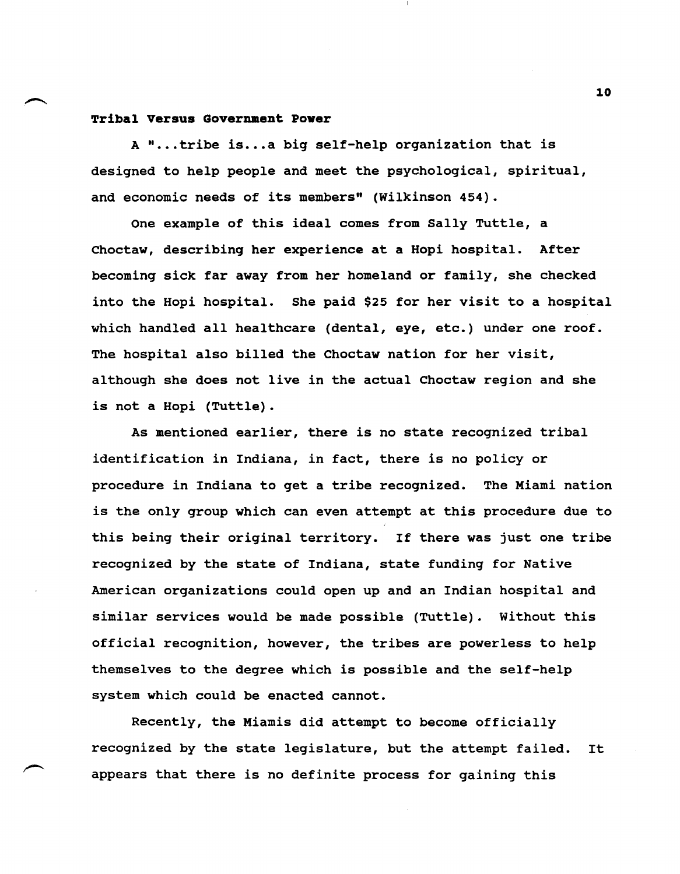## **Tribal Versus Government Pover**

A "...tribe is...a big self-help organization that is designed to help people and meet the psychological, spiritual, and economic needs of its members" (Wilkinson 454).

One example of this ideal comes from Sally Tuttle, a Choctaw, describing her experience at a Hopi hospital. After becoming sick far away from her homeland or family, she checked into the Hopi hospital. She paid \$25 for her visit to a hospital which handled all healthcare (dental, eye, etc.) under one roof. The hospital also billed the Choctaw nation for her visit, although she does not live in the actual Choctaw region and she is not a Hopi (Tuttle).

As mentioned earlier, there is no state recognized tribal identification in Indiana, in fact, there is no policy or procedure in Indiana to get a tribe recognized. The Miami nation is the only group which can even attempt at this procedure due to this being their original territory. If there was just one tribe recognized by the state of Indiana, state funding for Native American organizations could open up and an Indian hospital and similar services would be made possible (Tuttle). without this official recognition, however, the tribes are powerless to help themselves to the degree which is possible and the self-help system which could be enacted cannot.

Recently, the Miamis did attempt to become officially recognized by the state legislature, but the attempt failed. It appears that there is no definite process for gaining this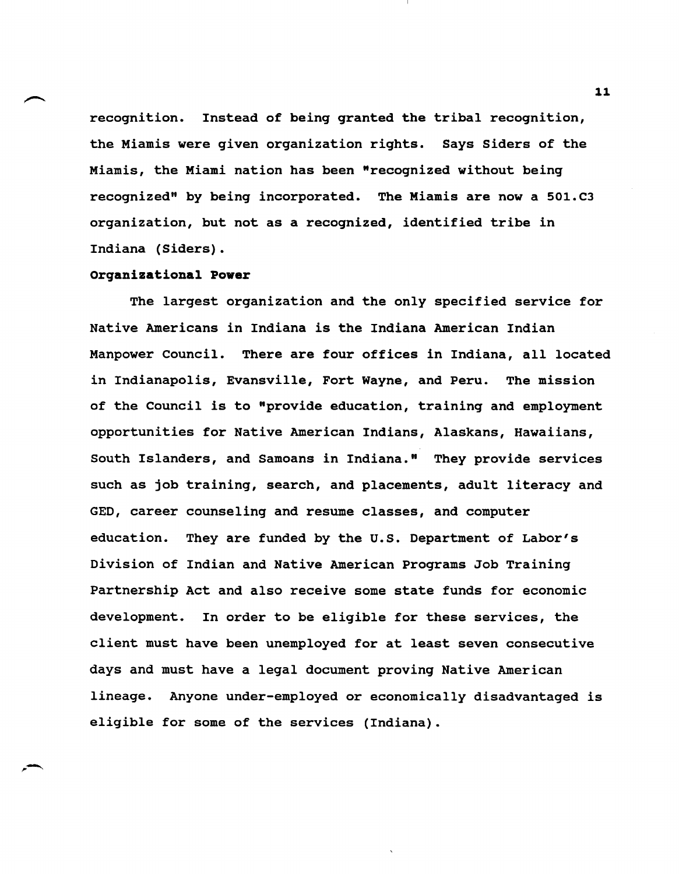recognition. Instead of being granted the tribal recognition, the Miamis were given organization rights. Says Siders of the Miamis, the Miami nation has been "recognized without being recognized" by being incorporated. The Miamis are now a 501.C3 organization, but not as a recognized, identified tribe in Indiana (Siders).

## **organizational Power**

The largest organization and the only specified service for Native Americans in Indiana is the Indiana American Indian Manpower Council. There are four offices in Indiana, all located in Indianapolis, Evansville, Fort Wayne, and Peru. The mission of the Council is to "provide education, training and employment opportunities for Native American Indians, Alaskans, Hawaiians, South Islanders, and Samoans in Indiana." They provide services such as job training, search, and placements, adult literacy and GED, career counseling and resume classes, and computer education. They are funded by the U.S. Department of Labor's Division of Indian and Native American Programs Job Training Partnership Act and also receive some state funds for economic development. In order to be eligible for these services, the client must have been unemployed for at least seven consecutive days and must have a legal document proving Native American lineage. Anyone under-employed or economically disadvantaged is eligible for some of the services (Indiana).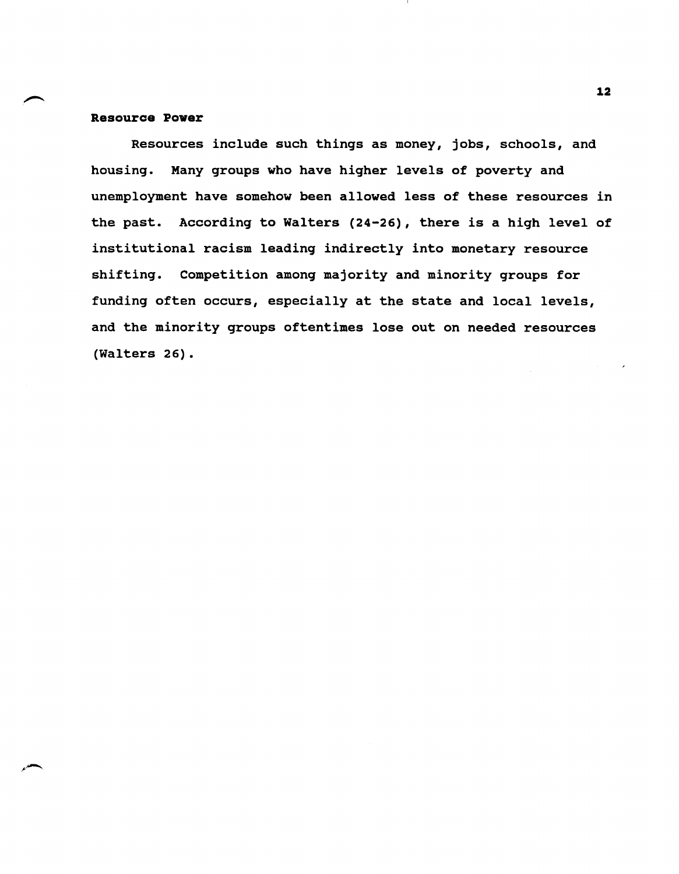## **Resource Power**

Resources include such things as money, jobs, schools, and housing. Many groups who have higher levels of poverty and unemployment have somehow been allowed less of these resources in the past. According to Walters (24-26), there is a high level of institutional racism leading indirectly into monetary resource shifting. Competition among majority and minority groups for funding often occurs, especially at the state and local levels, and the minority groups oftentimes lose out on needed resources (Walters 26).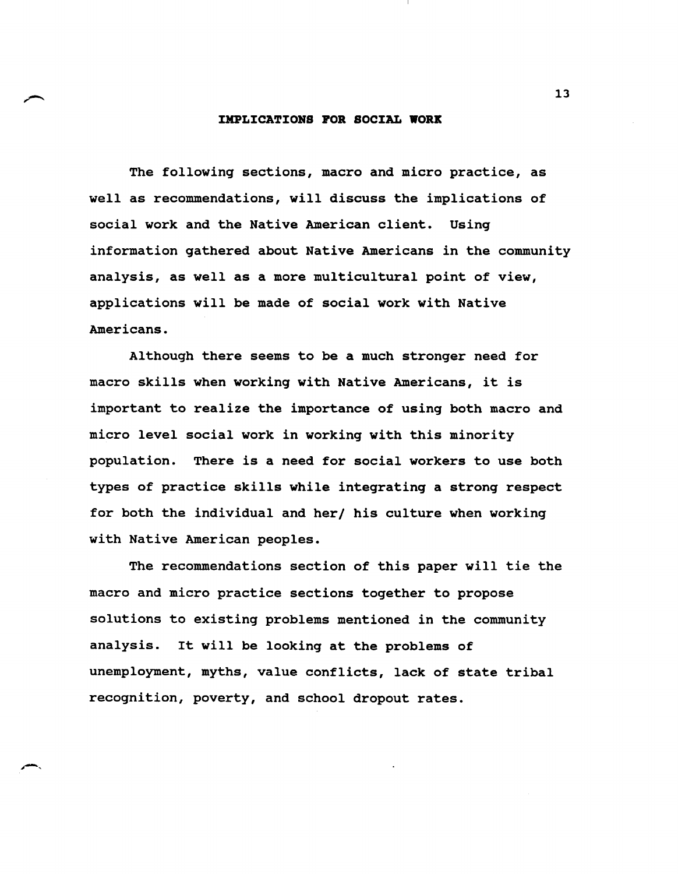#### **IMPLICATIONS FOR SOCIAL WORK**

The followinq sections, macro and micro practice, as well as recommendations, will discuss the implications of social work and the Native American client. Usinq information qathered about Native Americans in the community analysis, as well as a more multicultural point of view, applications will be made of social work with Native Americans.

Althouqh there seems to be a much stronqer need for macro skills when workinq with Native Americans, it is important to realize the importance of usinq both macro and micro level social work in workinq with this minority population. There is a need for social workers to use both types of practice skills while inteqratinq a stronq respect for both the individual and her/ his culture when workinq with Native American peoples.

The recommendations section of this paper will tie the macro and micro practice sections toqether to propose solutions to existinq problems mentioned in the community analysis. It will be lookinq at the problems of unemployment, myths, value conflicts, lack of state tribal recoqnition, poverty, and school dropout rates.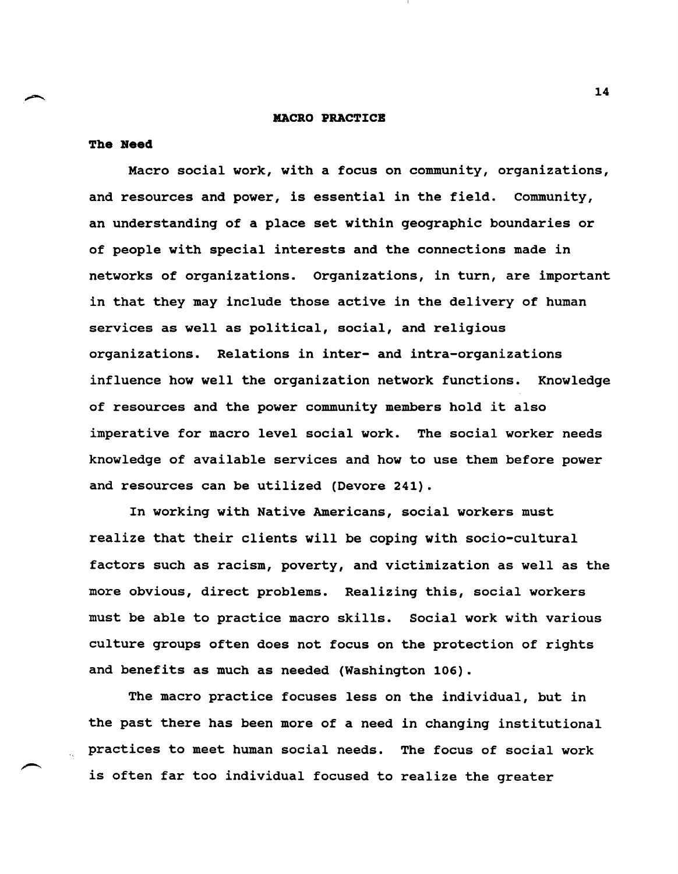### **MACRO PRACTICB**

#### **The Need**

Macro social work, with a focus on community, organizations, and resources and power, is essential in the field. community, an understanding of a place set within geographic boundaries or of people with special interests and the connections made in networks of organizations. Organizations, in turn, are important in that they may include those active in the delivery of human services as well as political, social, and religious organizations. Relations in inter- and intra-organizations influence how well the organization network functions. Knowledge of resources and the power community members hold it also imperative for macro level social work. The social worker needs knowledge of available services and how to use them before power and resources can be utilized (Devore 241).

In working with Native Americans, social workers must realize that their clients will be coping with socio-cultural factors such as racism, poverty, and victimization as well as the more obvious, direct problems. Realizing this, social workers must be able to practice macro skills. Social work with various culture groups often does not focus on the protection of rights and benefits as much as needed (Washington 106).

The macro practice focuses less on the individual, but in the past there has been more of a need in changing institutional practices to meet human social needs. The focus of social work is often far too individual focused to realize the greater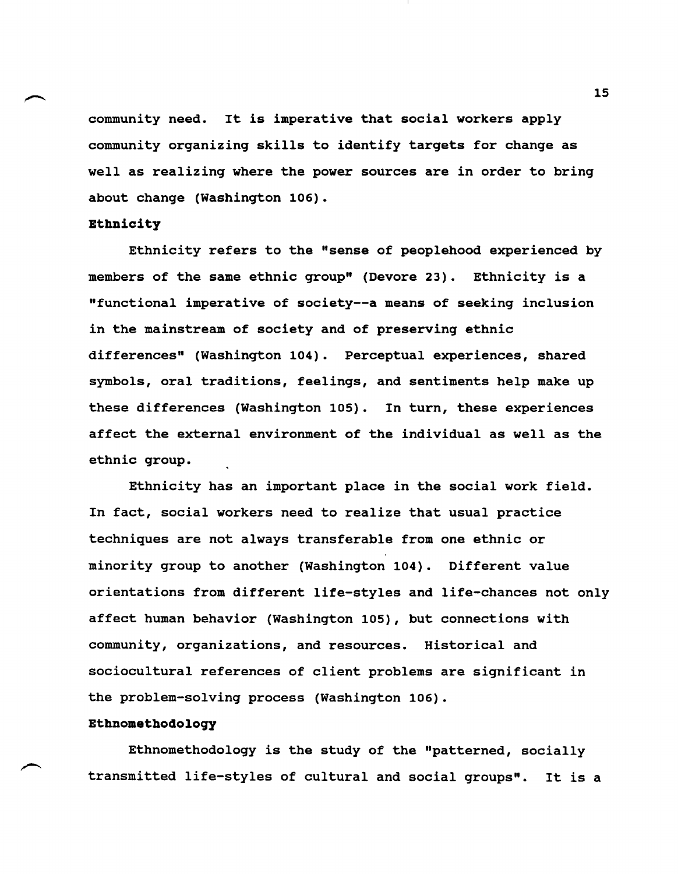community need. It is imperative that social workers apply community organizing skills to identify targets for change as well as realizing where the power sources are in order to bring about change (Washington 106).

## Ethnicity

Ethnicity refers to the "sense of peoplehood experienced by members of the same ethnic group" (Devore 23). Ethnicity is a "functional imperative of society--a means of seeking inclusion in the mainstream of society and of preserving ethnic differences" (Washington 104). Perceptual experiences, shared symbols, oral traditions, feelings, and sentiments help make up these differences (Washington 105). In turn, these experiences affect the external environment of the individual as well as the ethnic group.

Ethnicity has an important place in the social work field. In fact, social workers need to realize that usual practice techniques are not always transferable from one ethnic or minority group to another (Washington 104). Different value orientations from different life-styles and life-chances not only affect human behavior (Washington 105), but connections with community, organizations, and resources. Historical and sociocultural references of client problems are significant in the problem-solving process (Washington 106).

## Ethnomethodology

Ethnomethodology is the study of the "patterned, socially transmitted life-styles of cultural and social groups". It is a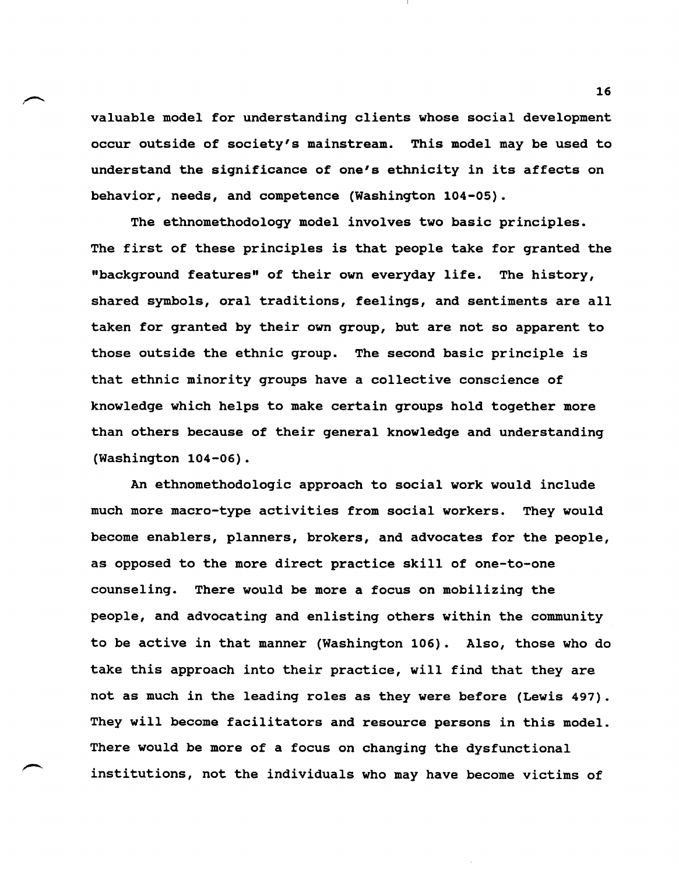valuable model for understanding clients whose social development occur outside of society's mainstream. This model may be used to understand the significance of one's ethnicity in its affects on behavior, needs, and competence (Washington 104-05).

The ethnomethodology model involves two basic principles. The first of these principles is that people take for granted the "background features" of their own everyday life. The history, shared symbols, oral traditions, feelings, and sentiments are all taken for granted by their own group, but are not so apparent to those outside the ethnic group. The second basic principle is that ethnic minority groups have a collective conscience of knowledge which helps to make certain groups hold together more than others because of their general knowledge and understanding (Washington 104-06).

An ethnomethodologic approach to social work would include much more macro-type activities from social workers. They would become enablers, planners, brokers, and advocates for the people, as opposed to the more direct practice skill of one-to-one counseling. There would be more a focus on mobilizing the people, and advocating and enlisting others within the community to be active in that manner (Washington 106). Also, those who do take this approach into their practice, will find that they are not as much in the leading roles as they were before (Lewis 497). They will become facilitators and resource persons in this model. There would be more of a focus on changing the dysfunctional institutions, not the individuals who may have become victims of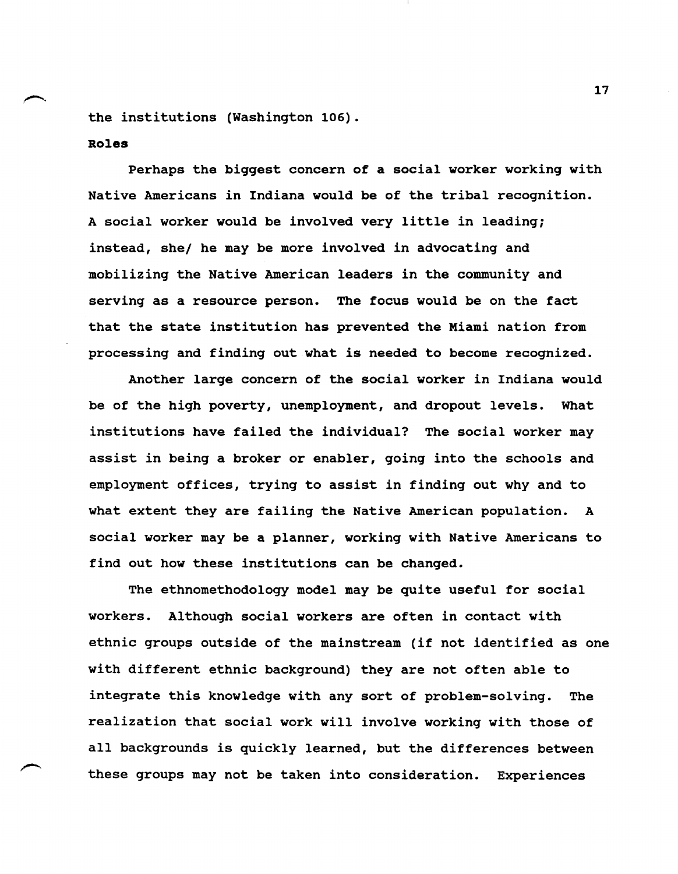the institutions (Washington 106).

## **Roles**

Perhaps the biggest concern of a social worker working with Native Americans in Indiana would be of the tribal recognition. A social worker would be involved very little in leading; instead, she/ he may be more involved in advocating and mobilizing the Native American leaders in the community and serving as a resource person. The focus would be on the fact that the state institution has prevented the Miami nation from processing and finding out what is needed to become recognized.

Another large concern of the social worker in Indiana would be of the high poverty, unemployment, and dropout levels. What institutions have failed the individual? The social worker may assist in being a broker or enabler, going into the schools and employment offices, trying to assist in finding out why and to what extent they are failing the Native American population. A social worker may be a planner, working with Native Americans to find out how these institutions can be changed.

The ethnomethodology model may be quite useful for social workers. Although social workers are often in contact with ethnic groups outside of the mainstream (if not identified as one with different ethnic background) they are not often able to integrate this knowledge with any sort of problem-solving. The realization that social work will involve working with those of all backgrounds is quickly learned, but the differences between these groups may not be taken into consideration. Experiences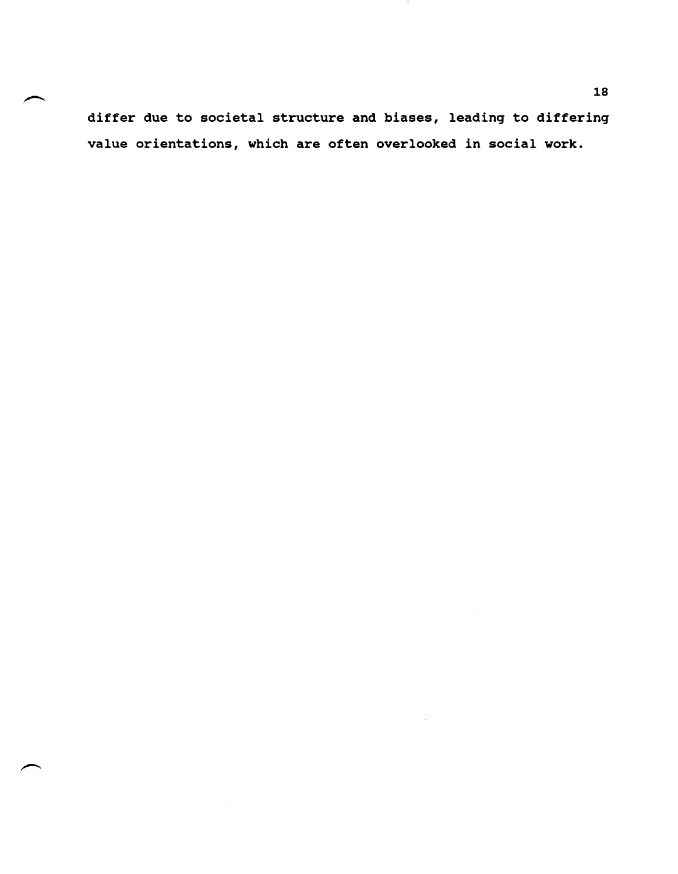differ due to societal structure and biases, leading to differing value orientations, which are often overlooked in social work.

 $\mathbf{H}$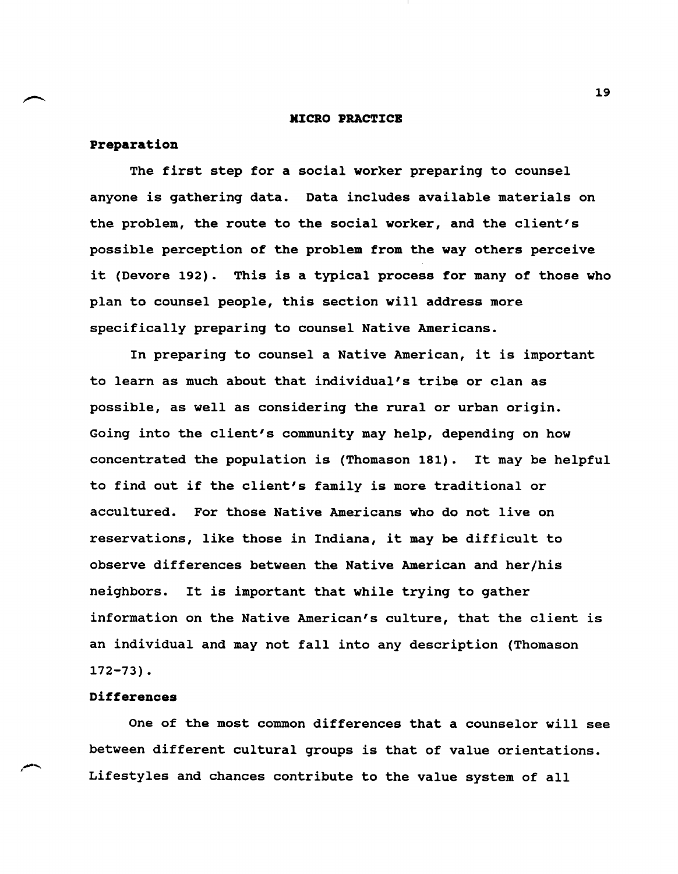### **MICRO PRACTICE**

## preparation

The first step for a social worker preparing to counsel anyone is gathering data. Data includes available materials on the problem, the route to the social worker, and the client's possible perception of the problem from the way others perceive it (Devore 192). This is a typical process for many of those who plan to counsel people, this section will address more specifically preparing to counsel Native Americans.

In preparing to counsel a Native American, it is important to learn as much about that individual's tribe or clan as possible, as well as considering the rural or urban origin. Going into the client's community may help, depending on how concentrated the population is (Thomason 181). It may be helpful to find out if the client's family is more traditional or accultured. For those Native Americans who do not live on reservations, like those in Indiana, it may be difficult to observe differences between the Native American and her/his neighbors. It is important that while trying to gather information on the Native American's culture, that the client is an individual and may not fall into any description (Thomason 172-73).

## Differences

One of the most common differences that a counselor will see between different cultural groups is that of value orientations. Lifestyles and chances contribute to the value system of all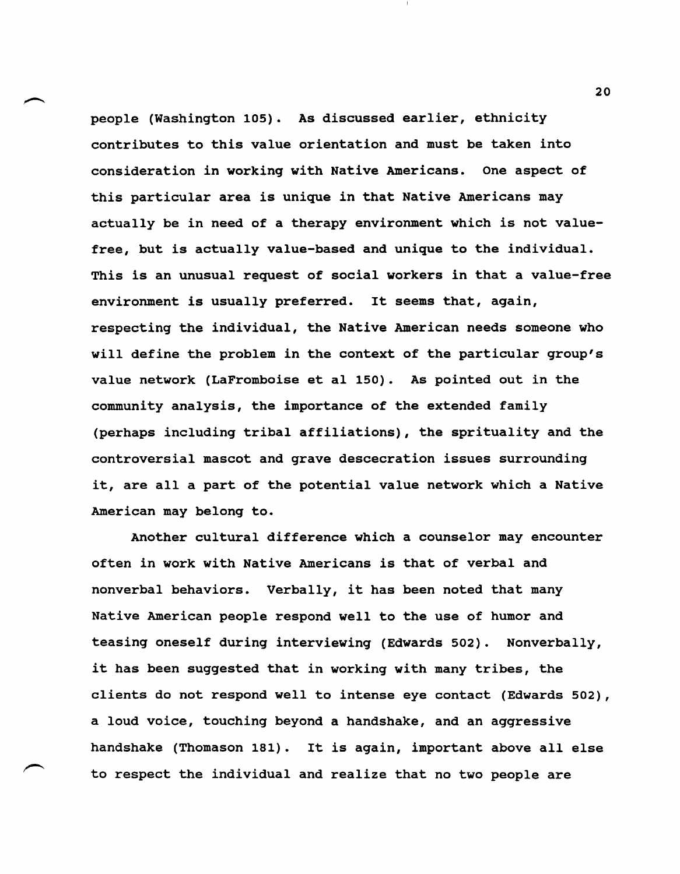people (Washington 105). As discussed earlier, ethnicity contributes to this value orientation and must be taken into consideration in working with Native Americans. One aspect of this particular area is unique in that Native Americans may actually be in need of a therapy environment which is not valuefree, but is actually value-based and unique to the individual. This is an unusual request of social workers in that a value-free environment is usually preferred. It seems that, again, respecting the individual, the Native American needs someone who will define the problem in the context of the particular group's value network (LaFromboise et al 150). As pointed out in the community analysis, the importance of the extended family (perhaps including tribal affiliations), the sprituality and the controversial mascot and grave descecration issues surrounding it, are all a part of the potential value network which a Native American may belong to.

Another cultural difference which a counselor may encounter often in work with Native Americans is that of verbal and nonverbal behaviors. Verbally, it has been noted that many Native American people respond well to the use of humor and teasing oneself during interviewing (Edwards 502). Nonverbally, it has been suggested that in working with many tribes, the clients do not respond well to intense eye contact (Edwards 502), a loud voice, touching beyond a handshake, and an aggressive handshake (Thomason 181). It is again, important above all else to respect the individual and realize that no two people are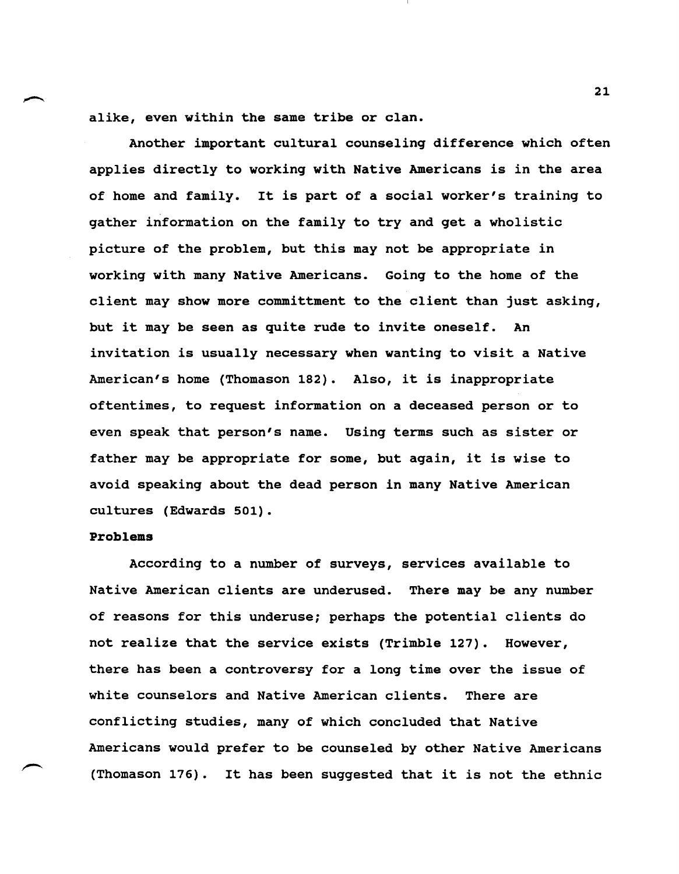alike, even within the same tribe or clan.

Another important cultural counseling difference which often applies directly to working with Native Americans is in the area of home and family. It is part of a social worker's training to gather information on the family to try and get a wholistic picture of the problem, but this may not be appropriate in working with many Native Americans. Going to the home of the client may show more committment to the client than just asking, but it may be seen as quite rude to invite oneself. An invitation is usually necessary when wanting to visit a Native American's home (Thomason 182). Also, it is inappropriate oftentimes, to request information on a deceased person or to even speak that person's name. Using terms such as sister or father may be appropriate for some, but again, it is wise to avoid speaking about the dead person in many Native American cultures (Edwards 501).

### Problems

According to a number of surveys, services available to Native American clients are underused. There may be any number of reasons for this underuse; perhaps the potential clients do not realize that the service exists (Trimble 127). However, there has been a controversy for a long time over the issue of white counselors and Native American clients. There are conflicting studies, many of which concluded that Native Americans would prefer to be counseled by other Native Americans (Thomason 176). It has been suggested that it is not the ethnic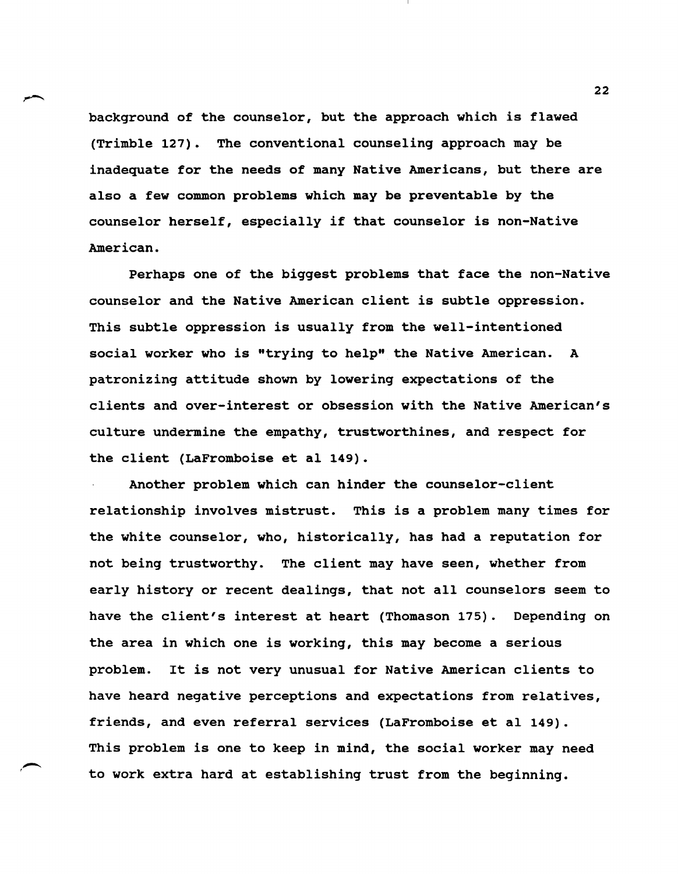background of the counselor, but the approach which is flawed (Trimble 127). The conventional counseling approach may be inadequate for the needs of many Native Americans, but there are also a few common problems which may be preventable by the counselor herself, especially if that counselor is non-Native American.

Perhaps one of the biggest problems that face the non-Native counselor and the Native American client is subtle oppression. This subtle oppression is usually from the well-intentioned social worker who is "trying to help" the Native American. A patronizing attitude shown by lowering expectations of the clients and over-interest or obsession with the Native American's culture undermine the empathy, trustworthines, and respect for the client (LaFromboise et al 149).

Another problem which can hinder the counselor-client relationship involves mistrust. This is a problem many times for the white counselor, who, historically, has had a reputation for not being trustworthy. The client may have seen, whether from early history or recent dealings, that not all counselors seem to have the client's interest at heart (Thomason 175). Depending on the area in which one is working, this may become a serious problem. It is not very unusual for Native American clients to have heard negative perceptions and expectations from relatives, friends, and even referral services (LaFromboise et al 149). This problem is one to keep in mind, the social worker may need to work extra hard at establishing trust from the beginning.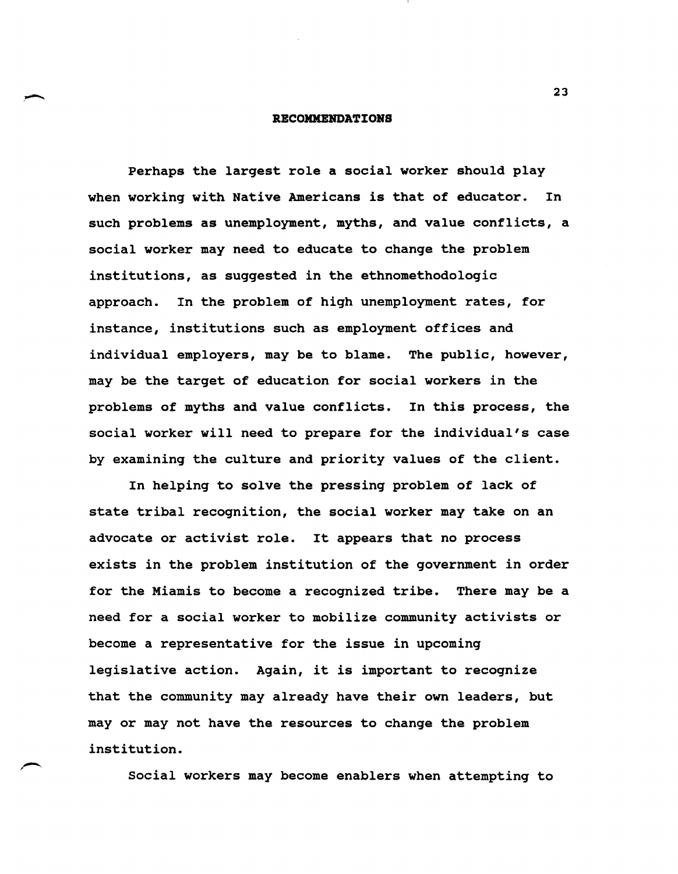### **RECOMMENDATIONS**

Perhaps the largest role a social worker should play when working with Native Americans is that of educator. In such problems as unemployment, myths, and value conflicts, a social worker may need to educate to change the problem institutions, as suggested in the ethnomethodologic approach. In the problem of high unemployment rates, for instance, institutions such as employment offices and individual employers, may be to blame. The public, however, may be the target of education for social workers in the problems of myths and value conflicts. In this process, the social worker will need to prepare for the individual's case by examining the culture and priority values of the client.

In helping to solve the pressing problem of lack of state tribal recognition, the social worker may take on an advocate or activist role. It appears that no process exists in the problem institution of the government in order for the Miamis to become a recognized tribe. There may be a need for a social worker to mobilize community activists or become a representative for the issue in upcoming legislative action. Again, it is important to recognize that the community may already have their own leaders, but mayor may not have the resources to change the problem institution.

social workers may become enablers when attempting to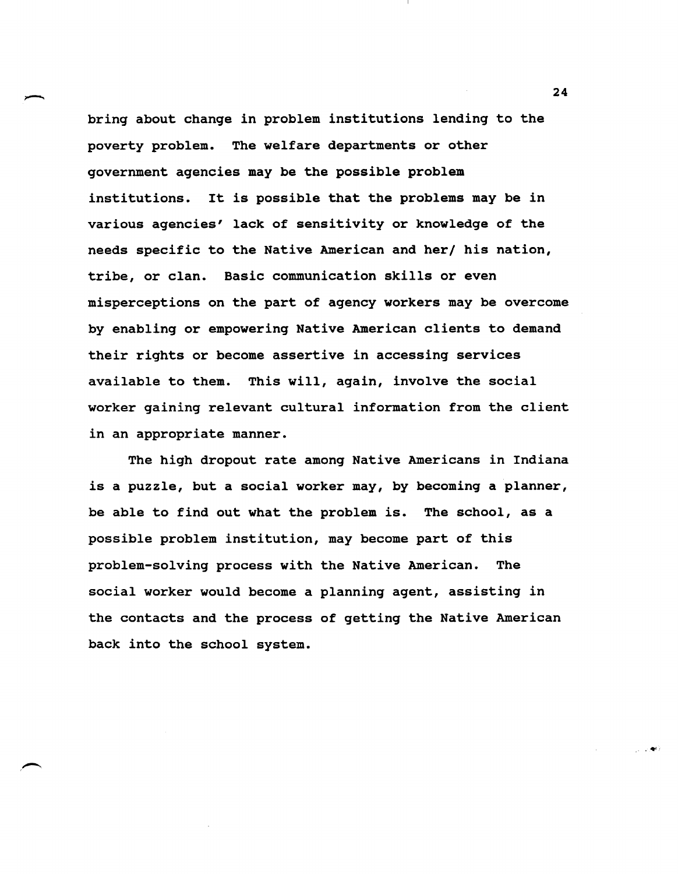bring about change in problem institutions lending to the poverty problem. The welfare departments or other government agencies may be the possible problem institutions. It is possible that the problems may be in various agencies' lack of sensitivity or knowledge of the needs specific to the Native American and her/ his nation, tribe, or clan. Basic communication skills or even misperceptions on the part of agency workers may be overcome by enabling or empowering Native American clients to demand their rights or become assertive in accessing services available to them. This will, again, involve the social worker gaining relevant cultural information from the client in an appropriate manner.

The high dropout rate among Native Americans in Indiana is a puzzle, but a social worker may, by becoming a planner, be able to find out what the problem is. The school, as a possible problem institution, may become part of this problem-solving process with the Native American. The social worker would become a planning agent, assisting in the contacts and the process of getting the Native American back into the school system.

24

.4'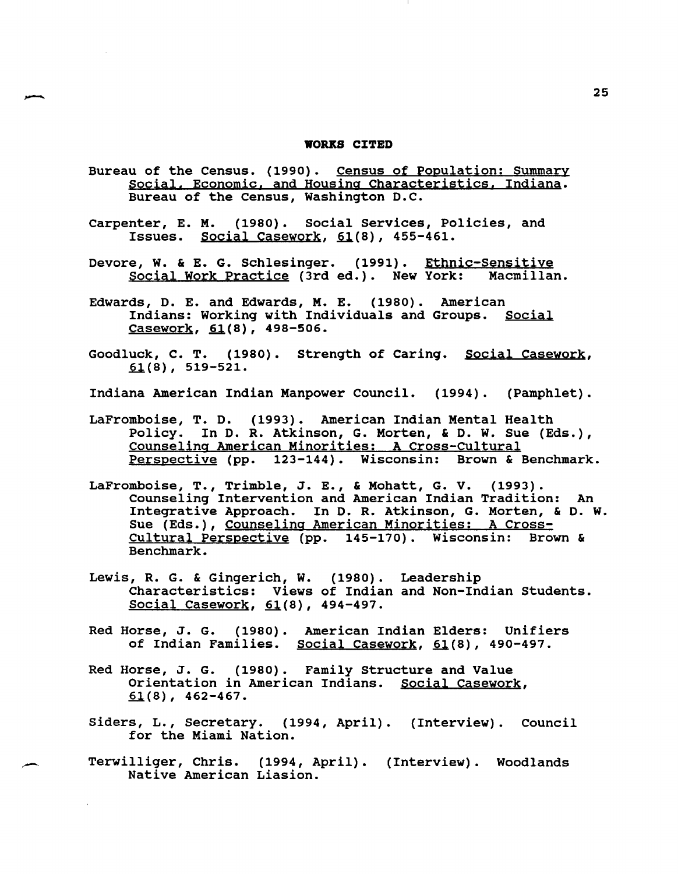#### **WORKS CITED**

- Bureau of the Census. (1990). Census of Population: Summary social. Economic. and Housing Characteristics. Indiana. Bureau of the Census, Washington D.C.
- Carpenter, E. M. (1980). Social Services, Policies, and Issues. Social Casework,  $61(8)$ , 455-461.
- Devore, W. & E. G. Schlesinger. (1991). Ethnic-Sensitive<br>Social Work Practice (3rd ed.). New York: Macmillan. Social Work Practice (3rd ed.). New York:
- Edwards, D. E. and Edwards, M. E. (1980). American Indians: Working with Individuals and Groups. Social  $Casework, 61(8), 498-506.$
- Goodluck, C. T. (1980). strength of Caring. Social Casework,  $61(8)$ , 519-521.
- Indiana American Indian Manpower Council. (1994). (Pamphlet).
- LaFromboise, T. D. (1993). American Indian Mental Health Policy. In D. R. Atkinson, G. Morten, & D. W. Sue (Eds.), Counseling American Minorities: A Cross-Cultural Perspective (pp. 123-144). Wisconsin: Brown & Benchmark.
- LaFromboise, T., Trimble, J. E., & Mohatt, G. V. (1993). counseling Intervention and American Indian Tradition: An Integrative Approach. In D. R. Atkinson, G. Morten, & D. W. Sue (Eds.), Counseling American Minorities: A Cross-Cultural Perspective (pp. 145-170). Wisconsin: Brown & Benchmark.
- Lewis, R. G. & Gingerich, W. (1980). Leadership Characteristics: Views of Indian and Non-Indian Students. Social Casework,  $61(8)$ , 494-497.
- Red Horse, J. G. (1980). American Indian Elders: Unifiers of Indian Families. Social Casework, 61(8), 490-497.
- Red Horse, J. G. (1980). Family Structure and Value Orientation in American Indians. Social Casework,  $61(8)$ , 462-467.
- Siders, L., Secretary. (1994, April). (Interview). Council for the Miami Nation.
- Terwilliger, Chris. (1994, April). (Interview). Woodlands Native American Liasion.